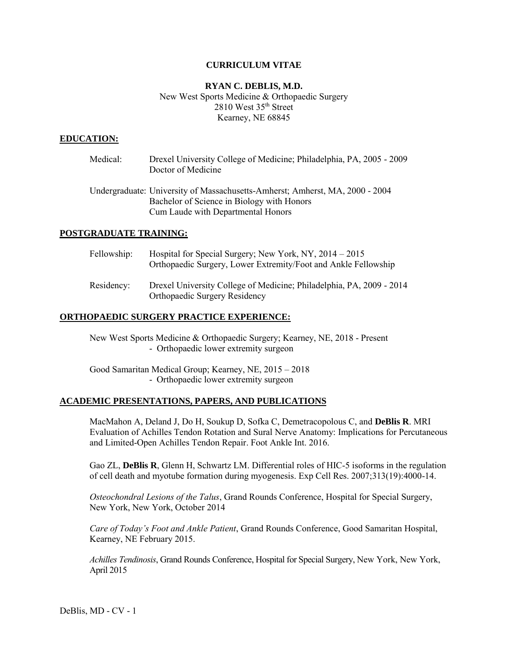#### **CURRICULUM VITAE**

## **RYAN C. DEBLIS, M.D.** New West Sports Medicine & Orthopaedic Surgery 2810 West 35th Street Kearney, NE 68845

#### **EDUCATION:**

| Medical:                 | Drexel University College of Medicine; Philadelphia, PA, 2005 - 2009<br>Doctor of Medicine                                                                       |
|--------------------------|------------------------------------------------------------------------------------------------------------------------------------------------------------------|
|                          | Undergraduate: University of Massachusetts-Amherst; Amherst, MA, 2000 - 2004<br>Bachelor of Science in Biology with Honors<br>Cum Laude with Departmental Honors |
| <b>DINTIME AD INTERA</b> |                                                                                                                                                                  |

# **POSTGRADUATE TRAINING:**

| Fellowship: | Hospital for Special Surgery; New York, NY, $2014 - 2015$<br>Orthopaedic Surgery, Lower Extremity/Foot and Ankle Fellowship |
|-------------|-----------------------------------------------------------------------------------------------------------------------------|
| Residency:  | Drexel University College of Medicine; Philadelphia, PA, 2009 - 2014<br>Orthopaedic Surgery Residency                       |

### **ORTHOPAEDIC SURGERY PRACTICE EXPERIENCE:**

New West Sports Medicine & Orthopaedic Surgery; Kearney, NE, 2018 - Present - Orthopaedic lower extremity surgeon

Good Samaritan Medical Group; Kearney, NE, 2015 – 2018 - Orthopaedic lower extremity surgeon

#### **ACADEMIC PRESENTATIONS, PAPERS, AND PUBLICATIONS**

MacMahon A, Deland J, Do H, Soukup D, Sofka C, Demetracopolous C, and **DeBlis R**. MRI Evaluation of Achilles Tendon Rotation and Sural Nerve Anatomy: Implications for Percutaneous and Limited-Open Achilles Tendon Repair. Foot Ankle Int. 2016.

Gao ZL, **DeBlis R**, Glenn H, Schwartz LM. Differential roles of HIC-5 isoforms in the regulation of cell death and myotube formation during myogenesis. Exp Cell Res. 2007;313(19):4000-14.

*Osteochondral Lesions of the Talus*, Grand Rounds Conference, Hospital for Special Surgery, New York, New York, October 2014

*Care of Today's Foot and Ankle Patient*, Grand Rounds Conference, Good Samaritan Hospital, Kearney, NE February 2015.

*Achilles Tendinosis*, Grand Rounds Conference, Hospital for Special Surgery, New York, New York, April 2015